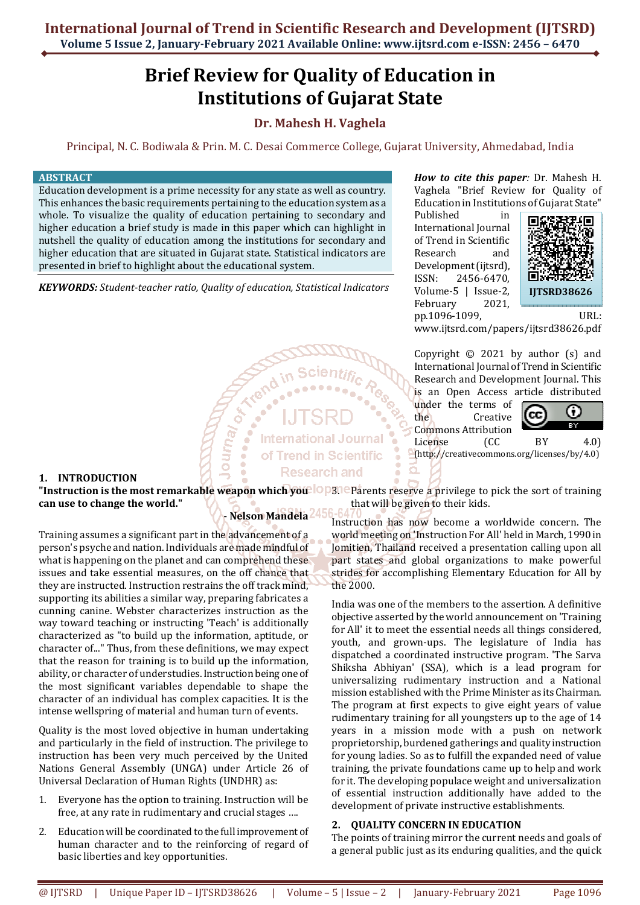# **Brief Review for Quality of Education in Institutions of Gujarat State**

# **Dr. Mahesh H. Vaghela**

Principal, N. C. Bodiwala & Prin. M. C. Desai Commerce College, Gujarat University, Ahmedabad, India

#### **ABSTRACT**

Education development is a prime necessity for any state as well as country. This enhances the basic requirements pertaining to the education system as a whole. To visualize the quality of education pertaining to secondary and higher education a brief study is made in this paper which can highlight in nutshell the quality of education among the institutions for secondary and higher education that are situated in Gujarat state. Statistical indicators are presented in brief to highlight about the educational system.

*KEYWORDS: Student-teacher ratio, Quality of education, Statistical Indicators* 

**CORE** 

um<sub>a/</sub>

## *How to cite this paper:* Dr. Mahesh H. Vaghela "Brief Review for Quality of Education in Institutions of Gujarat State"

Published in International Journal of Trend in Scientific Research and Development (ijtsrd), ISSN: 2456-6470, Volume-5 | Issue-2, February 2021, pp.1096-1099, URL:



www.ijtsrd.com/papers/ijtsrd38626.pdf

Copyright © 2021 by author (s) and International Journal of Trend in Scientific Research and Development Journal. This is an Open Access article distributed

under the terms of the Creative Commons Attribution License (CC BY 4.0)



(http://creativecommons.org/licenses/by/4.0)

# **1. INTRODUCTION**

**"Instruction is the most remarkable weapon which you <sup>10</sup>P31eParents reserve a privilege to pick the sort of training can use to change the world."**  that will be given to their kids.

**International Journal** of Trend in Scientific **Research and** 

#### **- Nelson Mandela**

Training assumes a significant part in the advancement of a person's psyche and nation. Individuals are made mindful of what is happening on the planet and can comprehend these issues and take essential measures, on the off chance that they are instructed. Instruction restrains the off track mind, supporting its abilities a similar way, preparing fabricates a cunning canine. Webster characterizes instruction as the way toward teaching or instructing 'Teach' is additionally characterized as "to build up the information, aptitude, or character of..." Thus, from these definitions, we may expect that the reason for training is to build up the information, ability, or character of understudies. Instruction being one of the most significant variables dependable to shape the character of an individual has complex capacities. It is the intense wellspring of material and human turn of events.

Quality is the most loved objective in human undertaking and particularly in the field of instruction. The privilege to instruction has been very much perceived by the United Nations General Assembly (UNGA) under Article 26 of Universal Declaration of Human Rights (UNDHR) as:

- 1. Everyone has the option to training. Instruction will be free, at any rate in rudimentary and crucial stages ….
- 2. Education will be coordinated to the full improvement of human character and to the reinforcing of regard of basic liberties and key opportunities.

Instruction has now become a worldwide concern. The world meeting on 'Instruction For All' held in March, 1990 in Jomitien, Thailand received a presentation calling upon all part states and global organizations to make powerful strides for accomplishing Elementary Education for All by the 2000.

India was one of the members to the assertion. A definitive objective asserted by the world announcement on 'Training for All' it to meet the essential needs all things considered, youth, and grown-ups. The legislature of India has dispatched a coordinated instructive program. 'The Sarva Shiksha Abhiyan' (SSA), which is a lead program for universalizing rudimentary instruction and a National mission established with the Prime Minister as its Chairman. The program at first expects to give eight years of value rudimentary training for all youngsters up to the age of 14 years in a mission mode with a push on network proprietorship, burdened gatherings and quality instruction for young ladies. So as to fulfill the expanded need of value training, the private foundations came up to help and work for it. The developing populace weight and universalization of essential instruction additionally have added to the development of private instructive establishments.

#### **2. QUALITY CONCERN IN EDUCATION**

The points of training mirror the current needs and goals of a general public just as its enduring qualities, and the quick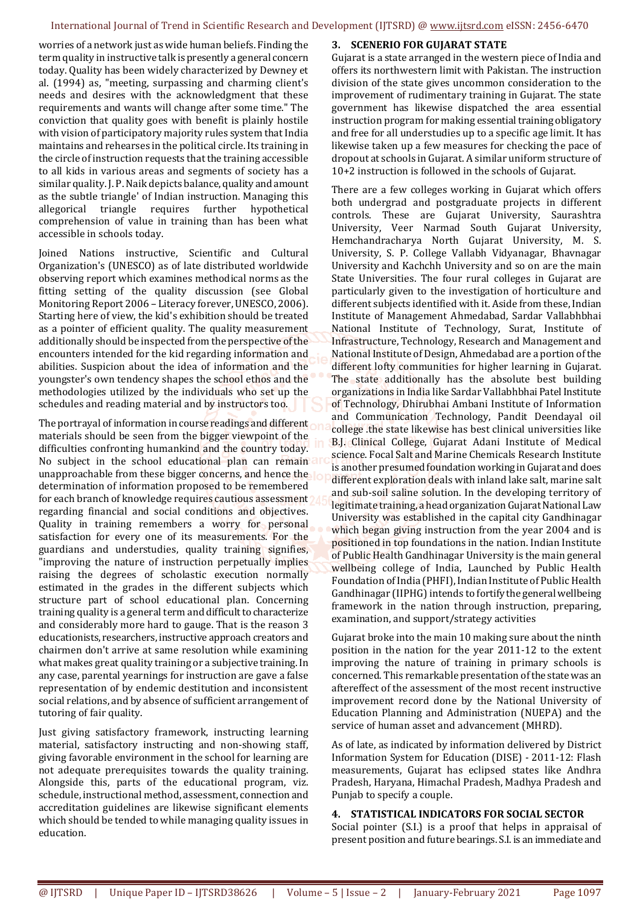#### International Journal of Trend in Scientific Research and Development (IJTSRD) @ www.ijtsrd.com eISSN: 2456-6470

worries of a network just as wide human beliefs. Finding the term quality in instructive talk is presently a general concern today. Quality has been widely characterized by Dewney et al. (1994) as, "meeting, surpassing and charming client's needs and desires with the acknowledgment that these requirements and wants will change after some time." The conviction that quality goes with benefit is plainly hostile with vision of participatory majority rules system that India maintains and rehearses in the political circle. Its training in the circle of instruction requests that the training accessible to all kids in various areas and segments of society has a similar quality. J. P. Naik depicts balance, quality and amount as the subtle triangle' of Indian instruction. Managing this allegorical triangle requires further hypothetical comprehension of value in training than has been what accessible in schools today.

Joined Nations instructive, Scientific and Cultural Organization's (UNESCO) as of late distributed worldwide observing report which examines methodical norms as the fitting setting of the quality discussion (see Global Monitoring Report 2006 – Literacy forever, UNESCO, 2006). Starting here of view, the kid's exhibition should be treated as a pointer of efficient quality. The quality measurement additionally should be inspected from the perspective of the encounters intended for the kid regarding information and abilities. Suspicion about the idea of information and the youngster's own tendency shapes the school ethos and the methodologies utilized by the individuals who set up the schedules and reading material and by instructors too.

The portrayal of information in course readings and different materials should be seen from the bigger viewpoint of the difficulties confronting humankind and the country today. No subject in the school educational plan can remain unapproachable from these bigger concerns, and hence the determination of information proposed to be remembered for each branch of knowledge requires cautious assessment regarding financial and social conditions and objectives. Quality in training remembers a worry for personal satisfaction for every one of its measurements. For the guardians and understudies, quality training signifies, "improving the nature of instruction perpetually implies raising the degrees of scholastic execution normally estimated in the grades in the different subjects which structure part of school educational plan. Concerning training quality is a general term and difficult to characterize and considerably more hard to gauge. That is the reason 3 educationists, researchers, instructive approach creators and chairmen don't arrive at same resolution while examining what makes great quality training or a subjective training. In any case, parental yearnings for instruction are gave a false representation of by endemic destitution and inconsistent social relations, and by absence of sufficient arrangement of tutoring of fair quality.

Just giving satisfactory framework, instructing learning material, satisfactory instructing and non-showing staff, giving favorable environment in the school for learning are not adequate prerequisites towards the quality training. Alongside this, parts of the educational program, viz. schedule, instructional method, assessment, connection and accreditation guidelines are likewise significant elements which should be tended to while managing quality issues in education.

#### **3. SCENERIO FOR GUJARAT STATE**

Gujarat is a state arranged in the western piece of India and offers its northwestern limit with Pakistan. The instruction division of the state gives uncommon consideration to the improvement of rudimentary training in Gujarat. The state government has likewise dispatched the area essential instruction program for making essential training obligatory and free for all understudies up to a specific age limit. It has likewise taken up a few measures for checking the pace of dropout at schools in Gujarat. A similar uniform structure of 10+2 instruction is followed in the schools of Gujarat.

There are a few colleges working in Gujarat which offers both undergrad and postgraduate projects in different controls. These are Gujarat University, Saurashtra University, Veer Narmad South Gujarat University, Hemchandracharya North Gujarat University, M. S. University, S. P. College Vallabh Vidyanagar, Bhavnagar University and Kachchh University and so on are the main State Universities. The four rural colleges in Gujarat are particularly given to the investigation of horticulture and different subjects identified with it. Aside from these, Indian Institute of Management Ahmedabad, Sardar Vallabhbhai National Institute of Technology, Surat, Institute of Infrastructure, Technology, Research and Management and National Institute of Design, Ahmedabad are a portion of the different lofty communities for higher learning in Gujarat. The state additionally has the absolute best building organizations in India like Sardar Vallabhbhai Patel Institute of Technology, Dhirubhai Ambani Institute of Information and Communication Technology, Pandit Deendayal oil college .the state likewise has best clinical universities like B.J. Clinical College, Gujarat Adani Institute of Medical science. Focal Salt and Marine Chemicals Research Institute is another presumed foundation working in Gujarat and does different exploration deals with inland lake salt, marine salt and sub-soil saline solution. In the developing territory of legitimate training, a head organization Gujarat National Law University was established in the capital city Gandhinagar which began giving instruction from the year 2004 and is positioned in top foundations in the nation. Indian Institute of Public Health Gandhinagar University is the main general wellbeing college of India, Launched by Public Health Foundation of India (PHFI), Indian Institute of Public Health Gandhinagar (IIPHG) intends to fortify the general wellbeing framework in the nation through instruction, preparing, examination, and support/strategy activities

Gujarat broke into the main 10 making sure about the ninth position in the nation for the year 2011-12 to the extent improving the nature of training in primary schools is concerned. This remarkable presentation of the state was an aftereffect of the assessment of the most recent instructive improvement record done by the National University of Education Planning and Administration (NUEPA) and the service of human asset and advancement (MHRD).

As of late, as indicated by information delivered by District Information System for Education (DISE) - 2011-12: Flash measurements, Gujarat has eclipsed states like Andhra Pradesh, Haryana, Himachal Pradesh, Madhya Pradesh and Punjab to specify a couple.

#### **4. STATISTICAL INDICATORS FOR SOCIAL SECTOR**

Social pointer (S.I.) is a proof that helps in appraisal of present position and future bearings. S.I. is an immediate and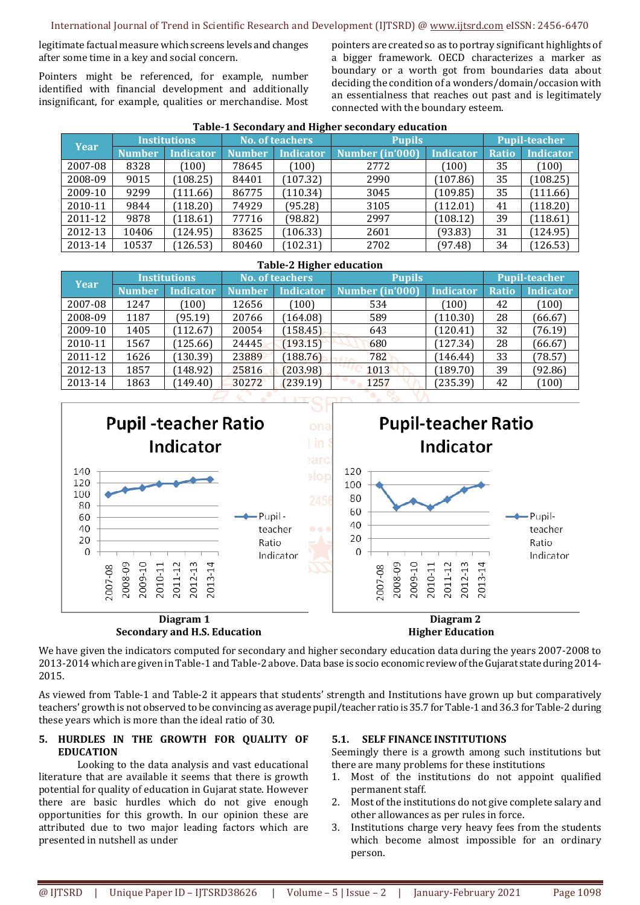legitimate factual measure which screens levels and changes after some time in a key and social concern.

Pointers might be referenced, for example, number identified with financial development and additionally insignificant, for example, qualities or merchandise. Most pointers are created so as to portray significant highlights of a bigger framework. OECD characterizes a marker as boundary or a worth got from boundaries data about deciding the condition of a wonders/domain/occasion with an essentialness that reaches out past and is legitimately connected with the boundary esteem.

| <b>Year</b> | <b>Institutions</b> |           | <b>No. of teachers</b> |                  | <b>Pupils</b>   |           | Pupil-teacher |                  |  |  |  |
|-------------|---------------------|-----------|------------------------|------------------|-----------------|-----------|---------------|------------------|--|--|--|
|             | <b>Number</b>       | Indicator | <b>Number</b>          | <i>Indicator</i> | Number (in'000) | Indicator | <b>Ratio</b>  | <b>Indicator</b> |  |  |  |
| 2007-08     | 8328                | (100)     | 78645                  | (100)            | 2772            | (100)     | 35            | (100)            |  |  |  |
| 2008-09     | 9015                | (108.25)  | 84401                  | (107.32)         | 2990            | (107.86)  | 35            | (108.25)         |  |  |  |
| 2009-10     | 9299                | (111.66)  | 86775                  | (110.34)         | 3045            | (109.85)  | 35            | (111.66)         |  |  |  |
| 2010-11     | 9844                | (118.20)  | 74929                  | (95.28)          | 3105            | (112.01)  | 41            | (118.20)         |  |  |  |
| 2011-12     | 9878                | (118.61)  | 77716                  | (98.82)          | 2997            | (108.12)  | 39            | (118.61)         |  |  |  |
| 2012-13     | 10406               | (124.95)  | 83625                  | (106.33)         | 2601            | (93.83)   | 31            | (124.95)         |  |  |  |
| 2013-14     | 10537               | (126.53)  | 80460                  | (102.31)         | 2702            | (97.48)   | 34            | (126.53)         |  |  |  |

#### **Table-1 Secondary and Higher secondary education**

| <b>Table-2 Higher education</b> |                     |                  |                        |                  |                 |           |                      |                  |  |  |  |  |
|---------------------------------|---------------------|------------------|------------------------|------------------|-----------------|-----------|----------------------|------------------|--|--|--|--|
| <b>Year</b>                     | <b>Institutions</b> |                  | <b>No. of teachers</b> |                  | <b>Pupils</b>   |           | <b>Pupil-teacher</b> |                  |  |  |  |  |
|                                 | Number              | <b>Indicator</b> | <b>Number</b>          | <b>Indicator</b> | Number (in'000) | Indicator | <b>Ratio</b>         | <b>Indicator</b> |  |  |  |  |
| 2007-08                         | 1247                | (100)            | 12656                  | (100)            | 534             | (100)     | 42                   | (100)            |  |  |  |  |
| 2008-09                         | 1187                | (95.19)          | 20766                  | 164.08           | 589             | (110.30)  | 28                   | (66.67)          |  |  |  |  |
| 2009-10                         | 1405                | 112.67           | 20054                  | (158.45)         | 643             | (120.41)  | 32                   | (76.19)          |  |  |  |  |
| 2010-11                         | 1567                | (125.66)         | 24445                  | (193.15)         | 680             | (127.34)  | 28                   | (66.67)          |  |  |  |  |
| 2011-12                         | 1626                | (130.39)         | 23889                  | 188.76           | 782             | (146.44)  | 33                   | (78.57)          |  |  |  |  |
| 2012-13                         | 1857                | 148.92           | 25816                  | (203.98)         | 1013            | (189.70)  | 39                   | (92.86)          |  |  |  |  |
| 2013-14                         | 1863                | (149.40)         | 30272                  | (239.19)         | 1257            | (235.39)  | 42                   | (100)            |  |  |  |  |



We have given the indicators computed for secondary and higher secondary education data during the years 2007-2008 to 2013-2014 which are given in Table-1 and Table-2 above. Data base is socio economic review of the Gujarat state during 2014- 2015.

As viewed from Table-1 and Table-2 it appears that students' strength and Institutions have grown up but comparatively teachers' growth is not observed to be convincing as average pupil/teacher ratio is 35.7 for Table-1 and 36.3 for Table-2 during these years which is more than the ideal ratio of 30.

## **5. HURDLES IN THE GROWTH FOR QUALITY OF EDUCATION**

 Looking to the data analysis and vast educational literature that are available it seems that there is growth potential for quality of education in Gujarat state. However there are basic hurdles which do not give enough opportunities for this growth. In our opinion these are attributed due to two major leading factors which are presented in nutshell as under

#### **5.1. SELF FINANCE INSTITUTIONS**

Seemingly there is a growth among such institutions but there are many problems for these institutions

- 1. Most of the institutions do not appoint qualified permanent staff.
- 2. Most of the institutions do not give complete salary and other allowances as per rules in force.
- 3. Institutions charge very heavy fees from the students which become almost impossible for an ordinary person.